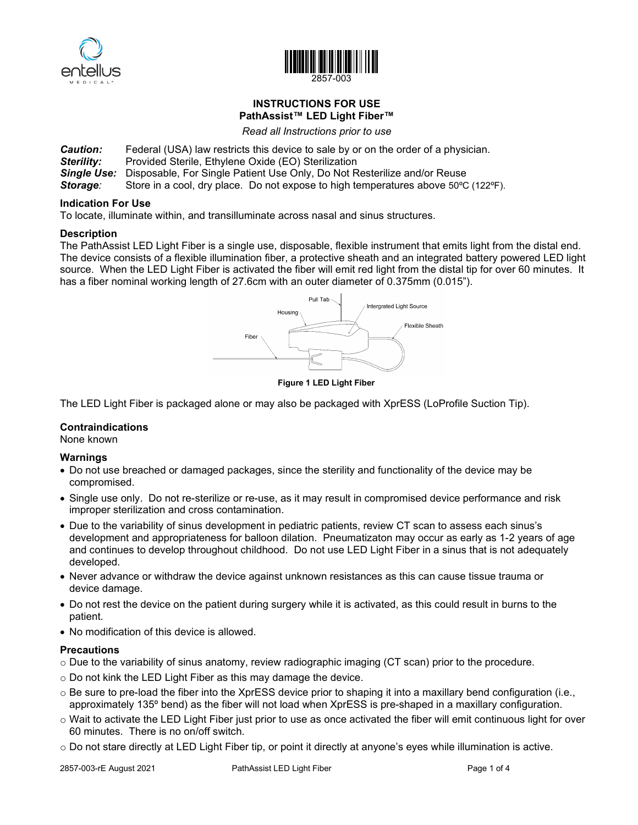



## **INSTRUCTIONS FOR USE PathAssist™ LED Light Fiber™**

*Read all Instructions prior to use*

- **Caution:** Federal (USA) law restricts this device to sale by or on the order of a physician.<br>**Sterility:** Provided Sterile, Ethylene Oxide (EO) Sterilization
- **Provided Sterile, Ethylene Oxide (EO) Sterilization**
- **Single Use:** Disposable, For Single Patient Use Only, Do Not Resterilize and/or Reuse Storage: Store in a cool, dry place. Do not expose to high temperatures above 50°C

Store in a cool, dry place. Do not expose to high temperatures above 50°C (122°F).

#### **Indication For Use**

To locate, illuminate within, and transilluminate across nasal and sinus structures.

#### **Description**

The PathAssist LED Light Fiber is a single use, disposable, flexible instrument that emits light from the distal end. The device consists of a flexible illumination fiber, a protective sheath and an integrated battery powered LED light source. When the LED Light Fiber is activated the fiber will emit red light from the distal tip for over 60 minutes. It has a fiber nominal working length of 27.6cm with an outer diameter of 0.375mm (0.015").



**Figure 1 LED Light Fiber**

The LED Light Fiber is packaged alone or may also be packaged with XprESS (LoProfile Suction Tip).

## **Contraindications**

None known

## **Warnings**

- Do not use breached or damaged packages, since the sterility and functionality of the device may be compromised.
- Single use only. Do not re-sterilize or re-use, as it may result in compromised device performance and risk improper sterilization and cross contamination.
- Due to the variability of sinus development in pediatric patients, review CT scan to assess each sinus's development and appropriateness for balloon dilation. Pneumatizaton may occur as early as 1-2 years of age and continues to develop throughout childhood. Do not use LED Light Fiber in a sinus that is not adequately developed.
- Never advance or withdraw the device against unknown resistances as this can cause tissue trauma or device damage.
- Do not rest the device on the patient during surgery while it is activated, as this could result in burns to the patient.
- No modification of this device is allowed.

## **Precautions**

- $\circ$  Due to the variability of sinus anatomy, review radiographic imaging (CT scan) prior to the procedure.
- o Do not kink the LED Light Fiber as this may damage the device.
- $\circ$  Be sure to pre-load the fiber into the XprESS device prior to shaping it into a maxillary bend configuration (i.e., approximately 135º bend) as the fiber will not load when XprESS is pre-shaped in a maxillary configuration.
- $\circ$  Wait to activate the LED Light Fiber just prior to use as once activated the fiber will emit continuous light for over 60 minutes. There is no on/off switch.
- $\circ$  Do not stare directly at LED Light Fiber tip, or point it directly at anyone's eyes while illumination is active.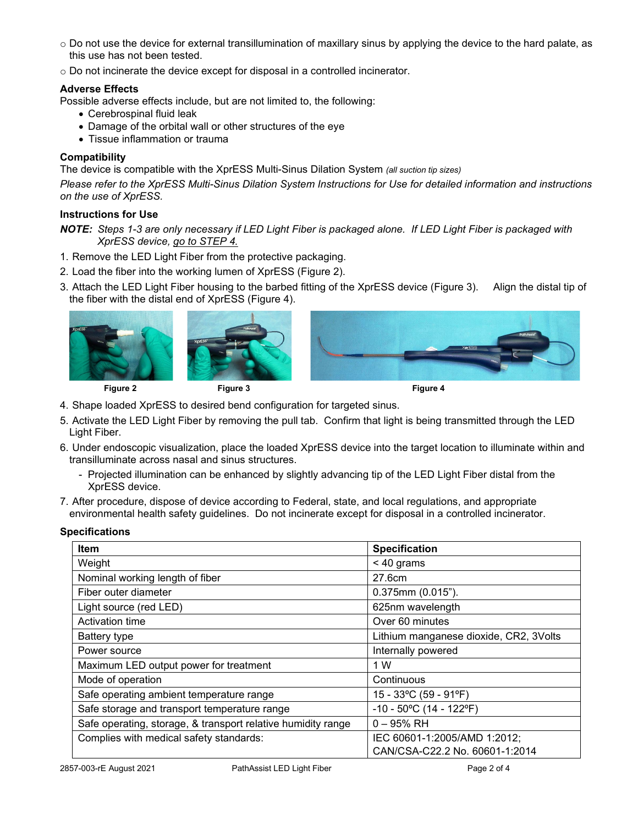- $\circ$  Do not use the device for external transillumination of maxillary sinus by applying the device to the hard palate, as this use has not been tested.
- o Do not incinerate the device except for disposal in a controlled incinerator.

## **Adverse Effects**

- Possible adverse effects include, but are not limited to, the following:
	- Cerebrospinal fluid leak
	- Damage of the orbital wall or other structures of the eye
	- Tissue inflammation or trauma

## **Compatibility**

The device is compatible with the XprESS Multi-Sinus Dilation System *(all suction tip sizes)*

*Please refer to the XprESS Multi-Sinus Dilation System Instructions for Use for detailed information and instructions on the use of XprESS.* 

# **Instructions for Use**

*NOTE: Steps 1-3 are only necessary if LED Light Fiber is packaged alone. If LED Light Fiber is packaged with XprESS device, go to STEP 4.* 

- 1. Remove the LED Light Fiber from the protective packaging.
- 2. Load the fiber into the working lumen of XprESS (Figure 2).
- 3. Attach the LED Light Fiber housing to the barbed fitting of the XprESS device (Figure 3). Align the distal tip of the fiber with the distal end of XprESS (Figure 4).









- 4. Shape loaded XprESS to desired bend configuration for targeted sinus.
- 5. Activate the LED Light Fiber by removing the pull tab. Confirm that light is being transmitted through the LED Light Fiber.
- 6. Under endoscopic visualization, place the loaded XprESS device into the target location to illuminate within and transilluminate across nasal and sinus structures.
	- Projected illumination can be enhanced by slightly advancing tip of the LED Light Fiber distal from the XprESS device.
- 7. After procedure, dispose of device according to Federal, state, and local regulations, and appropriate environmental health safety guidelines. Do not incinerate except for disposal in a controlled incinerator.

| <b>Item</b>                                                  | <b>Specification</b>                   |  |
|--------------------------------------------------------------|----------------------------------------|--|
| Weight                                                       | $< 40$ grams                           |  |
| Nominal working length of fiber                              | 27.6cm                                 |  |
| Fiber outer diameter                                         | $0.375$ mm $(0.015")$ .                |  |
| Light source (red LED)                                       | 625nm wavelength                       |  |
| Activation time                                              | Over 60 minutes                        |  |
| Battery type                                                 | Lithium manganese dioxide, CR2, 3Volts |  |
| Power source                                                 | Internally powered                     |  |
| Maximum LED output power for treatment                       | 1 W                                    |  |
| Mode of operation                                            | Continuous                             |  |
| Safe operating ambient temperature range                     | 15 - 33°C (59 - 91°F)                  |  |
| Safe storage and transport temperature range                 | $-10 - 50^{\circ}$ C (14 - 122°F)      |  |
| Safe operating, storage, & transport relative humidity range | $0 - 95%$ RH                           |  |
| Complies with medical safety standards:                      | IEC 60601-1:2005/AMD 1:2012;           |  |
|                                                              | CAN/CSA-C22.2 No. 60601-1:2014         |  |

## **Specifications**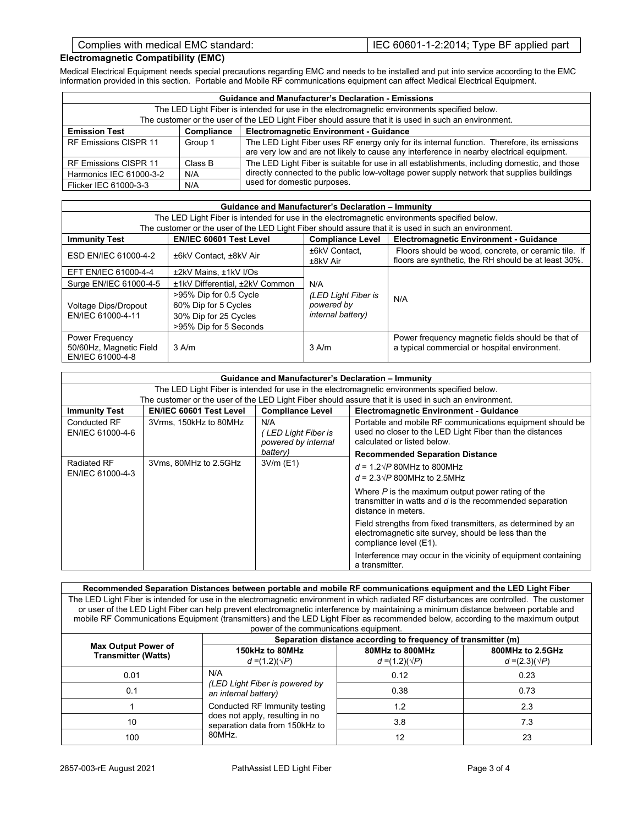## **Electromagnetic Compatibility (EMC)**

Medical Electrical Equipment needs special precautions regarding EMC and needs to be installed and put into service according to the EMC information provided in this section. Portable and Mobile RF communications equipment can affect Medical Electrical Equipment.

| <b>Guidance and Manufacturer's Declaration - Emissions</b>                                            |            |                                                                                                                                                                                          |  |
|-------------------------------------------------------------------------------------------------------|------------|------------------------------------------------------------------------------------------------------------------------------------------------------------------------------------------|--|
| The LED Light Fiber is intended for use in the electromagnetic environments specified below.          |            |                                                                                                                                                                                          |  |
| The customer or the user of the LED Light Fiber should assure that it is used in such an environment. |            |                                                                                                                                                                                          |  |
| <b>Emission Test</b>                                                                                  | Compliance | <b>Electromagnetic Environment - Guidance</b>                                                                                                                                            |  |
| RF Emissions CISPR 11                                                                                 | Group 1    | The LED Light Fiber uses RF energy only for its internal function. Therefore, its emissions<br>are very low and are not likely to cause any interference in nearby electrical equipment. |  |
| RF Emissions CISPR 11                                                                                 | Class B    | The LED Light Fiber is suitable for use in all establishments, including domestic, and those                                                                                             |  |
| Harmonics IEC 61000-3-2                                                                               | N/A        | directly connected to the public low-voltage power supply network that supplies buildings                                                                                                |  |
| Flicker IEC 61000-3-3                                                                                 | N/A        | used for domestic purposes.                                                                                                                                                              |  |

| Guidance and Manufacturer's Declaration - Immunity                                           |                                                                                                       |                                                        |                                                                                                              |  |
|----------------------------------------------------------------------------------------------|-------------------------------------------------------------------------------------------------------|--------------------------------------------------------|--------------------------------------------------------------------------------------------------------------|--|
| The LED Light Fiber is intended for use in the electromagnetic environments specified below. |                                                                                                       |                                                        |                                                                                                              |  |
|                                                                                              | The customer or the user of the LED Light Fiber should assure that it is used in such an environment. |                                                        |                                                                                                              |  |
| <b>Immunity Test</b>                                                                         | <b>EN/IEC 60601 Test Level</b>                                                                        | <b>Compliance Level</b>                                | <b>Electromagnetic Environment - Guidance</b>                                                                |  |
| ESD EN/IEC 61000-4-2                                                                         | ±6kV Contact, ±8kV Air                                                                                | ±6kV Contact.<br>±8kV Air                              | Floors should be wood, concrete, or ceramic tile. If<br>floors are synthetic, the RH should be at least 30%. |  |
| EFT EN/IEC 61000-4-4                                                                         | ±2kV Mains, ±1kV I/Os                                                                                 |                                                        |                                                                                                              |  |
| Surge EN/IEC 61000-4-5                                                                       | ±1kV Differential, ±2kV Common                                                                        | N/A                                                    | N/A                                                                                                          |  |
| Voltage Dips/Dropout<br>EN/IEC 61000-4-11                                                    | >95% Dip for 0.5 Cycle<br>60% Dip for 5 Cycles<br>30% Dip for 25 Cycles<br>>95% Dip for 5 Seconds     | (LED Light Fiber is<br>powered by<br>internal battery) |                                                                                                              |  |
| Power Frequency<br>50/60Hz, Magnetic Field<br>EN/IEC 61000-4-8                               | $3$ A/m                                                                                               | $3$ A/m                                                | Power frequency magnetic fields should be that of<br>a typical commercial or hospital environment.           |  |

| Guidance and Manufacturer's Declaration - Immunity                                           |                                |                                                              |                                                                                                                                                      |
|----------------------------------------------------------------------------------------------|--------------------------------|--------------------------------------------------------------|------------------------------------------------------------------------------------------------------------------------------------------------------|
| The LED Light Fiber is intended for use in the electromagnetic environments specified below. |                                |                                                              |                                                                                                                                                      |
|                                                                                              |                                |                                                              | The customer or the user of the LED Light Fiber should assure that it is used in such an environment.                                                |
| <b>Immunity Test</b>                                                                         | <b>EN/IEC 60601 Test Level</b> | <b>Compliance Level</b>                                      | <b>Electromagnetic Environment - Guidance</b>                                                                                                        |
| Conducted RF<br>EN/IEC 61000-4-6                                                             | 3Vrms. 150kHz to 80MHz         | N/A<br>LED Light Fiber is<br>powered by internal<br>battery) | Portable and mobile RF communications equipment should be<br>used no closer to the LED Light Fiber than the distances<br>calculated or listed below. |
| Radiated RF                                                                                  | 3Vms, 80MHz to 2.5GHz          | $3V/m$ (E1)                                                  | <b>Recommended Separation Distance</b>                                                                                                               |
| EN/IEC 61000-4-3                                                                             |                                |                                                              | $d = 1.2\sqrt{P}$ 80MHz to 800MHz<br>$d = 2.3\sqrt{P}$ 800MHz to 2.5MHz                                                                              |
|                                                                                              |                                |                                                              | Where $P$ is the maximum output power rating of the<br>transmitter in watts and $d$ is the recommended separation<br>distance in meters              |
|                                                                                              |                                |                                                              | Field strengths from fixed transmitters, as determined by an<br>electromagnetic site survey, should be less than the<br>compliance level (E1).       |
|                                                                                              |                                |                                                              | Interference may occur in the vicinity of equipment containing<br>a transmitter.                                                                     |

| Recommended Separation Distances between portable and mobile RF communications equipment and the LED Light Fiber                                                                                                                                                                                                                                                                                                                                              |                                                                   |                                          |                                           |
|---------------------------------------------------------------------------------------------------------------------------------------------------------------------------------------------------------------------------------------------------------------------------------------------------------------------------------------------------------------------------------------------------------------------------------------------------------------|-------------------------------------------------------------------|------------------------------------------|-------------------------------------------|
| The LED Light Fiber is intended for use in the electromagnetic environment in which radiated RF disturbances are controlled. The customer<br>or user of the LED Light Fiber can help prevent electromagnetic interference by maintaining a minimum distance between portable and<br>mobile RF Communications Equipment (transmitters) and the LED Light Fiber as recommended below, according to the maximum output<br>power of the communications equipment. |                                                                   |                                          |                                           |
|                                                                                                                                                                                                                                                                                                                                                                                                                                                               | Separation distance according to frequency of transmitter (m)     |                                          |                                           |
| <b>Max Output Power of</b><br><b>Transmitter (Watts)</b>                                                                                                                                                                                                                                                                                                                                                                                                      | 150kHz to 80MHz<br>$d = (1.2)(\sqrt{P})$                          | 80MHz to 800MHz<br>$d = (1.2)(\sqrt{P})$ | 800MHz to 2.5GHz<br>$d = (2.3)(\sqrt{P})$ |
| 0.01                                                                                                                                                                                                                                                                                                                                                                                                                                                          | N/A                                                               | 0.12                                     | 0.23                                      |
| 0.1                                                                                                                                                                                                                                                                                                                                                                                                                                                           | (LED Light Fiber is powered by<br>an internal battery)            | 0.38                                     | 0.73                                      |
|                                                                                                                                                                                                                                                                                                                                                                                                                                                               | Conducted RF Immunity testing                                     | 1.2                                      | 2.3                                       |
| 10                                                                                                                                                                                                                                                                                                                                                                                                                                                            | does not apply, resulting in no<br>separation data from 150kHz to | 3.8                                      | 7.3                                       |
| 100                                                                                                                                                                                                                                                                                                                                                                                                                                                           | 80MHz.                                                            | 12                                       | 23                                        |